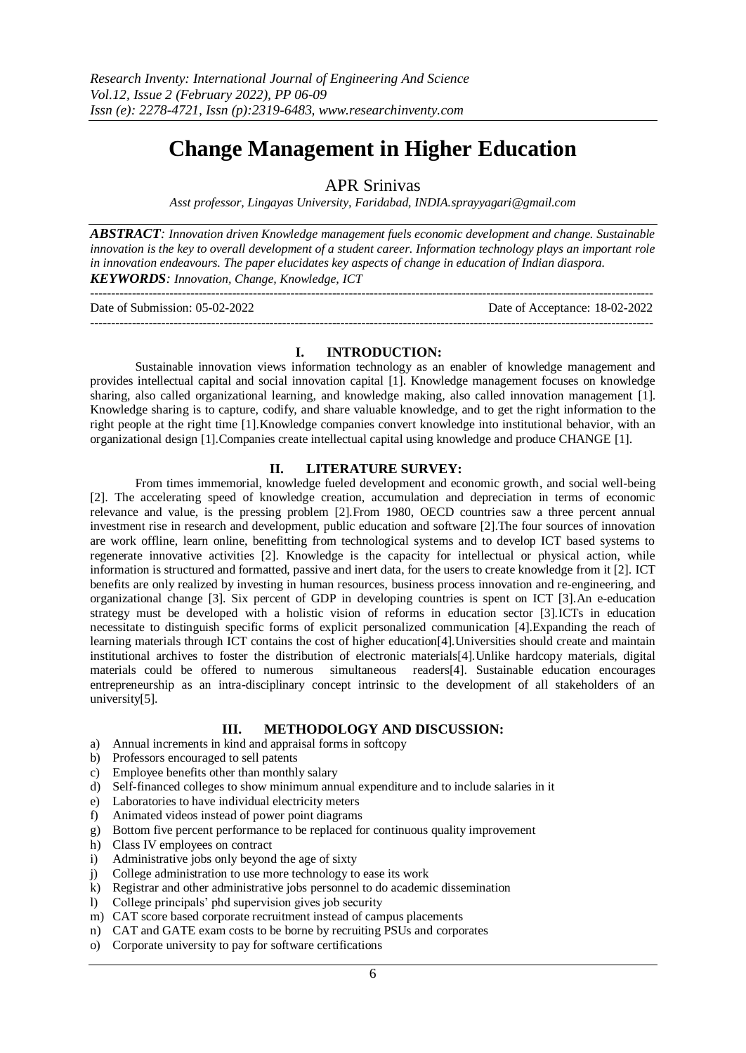# **Change Management in Higher Education**

APR Srinivas

*Asst professor, Lingayas University, Faridabad, INDIA.sprayyagari@gmail.com*

*ABSTRACT: Innovation driven Knowledge management fuels economic development and change. Sustainable innovation is the key to overall development of a student career. Information technology plays an important role in innovation endeavours. The paper elucidates key aspects of change in education of Indian diaspora. KEYWORDS: Innovation, Change, Knowledge, ICT*

 $-1\leq i\leq n-1$ Date of Submission: 05-02-2022 Date of Acceptance: 18-02-2022 ---------------------------------------------------------------------------------------------------------------------------------------

#### **I. INTRODUCTION:**

Sustainable innovation views information technology as an enabler of knowledge management and provides intellectual capital and social innovation capital [1]. Knowledge management focuses on knowledge sharing, also called organizational learning, and knowledge making, also called innovation management [1]. Knowledge sharing is to capture, codify, and share valuable knowledge, and to get the right information to the right people at the right time [1].Knowledge companies convert knowledge into institutional behavior, with an organizational design [1].Companies create intellectual capital using knowledge and produce CHANGE [1].

## **II. LITERATURE SURVEY:**

From times immemorial, knowledge fueled development and economic growth, and social well-being [2]. The accelerating speed of knowledge creation, accumulation and depreciation in terms of economic relevance and value, is the pressing problem [2].From 1980, OECD countries saw a three percent annual investment rise in research and development, public education and software [2].The four sources of innovation are work offline, learn online, benefitting from technological systems and to develop ICT based systems to regenerate innovative activities [2]. Knowledge is the capacity for intellectual or physical action, while information is structured and formatted, passive and inert data, for the users to create knowledge from it [2]. ICT benefits are only realized by investing in human resources, business process innovation and re-engineering, and organizational change [3]. Six percent of GDP in developing countries is spent on ICT [3].An e-education strategy must be developed with a holistic vision of reforms in education sector [3].ICTs in education necessitate to distinguish specific forms of explicit personalized communication [4].Expanding the reach of learning materials through ICT contains the cost of higher education[4].Universities should create and maintain institutional archives to foster the distribution of electronic materials[4].Unlike hardcopy materials, digital materials could be offered to numerous simultaneous readers[4]. Sustainable education encourages entrepreneurship as an intra-disciplinary concept intrinsic to the development of all stakeholders of an university[5].

#### **III. METHODOLOGY AND DISCUSSION:**

- a) Annual increments in kind and appraisal forms in softcopy
- b) Professors encouraged to sell patents
- c) Employee benefits other than monthly salary
- d) Self-financed colleges to show minimum annual expenditure and to include salaries in it
- e) Laboratories to have individual electricity meters
- f) Animated videos instead of power point diagrams
- g) Bottom five percent performance to be replaced for continuous quality improvement
- h) Class IV employees on contract
- i) Administrative jobs only beyond the age of sixty
- j) College administration to use more technology to ease its work
- k) Registrar and other administrative jobs personnel to do academic dissemination
- l) College principals' phd supervision gives job security
- m) CAT score based corporate recruitment instead of campus placements
- n) CAT and GATE exam costs to be borne by recruiting PSUs and corporates
- o) Corporate university to pay for software certifications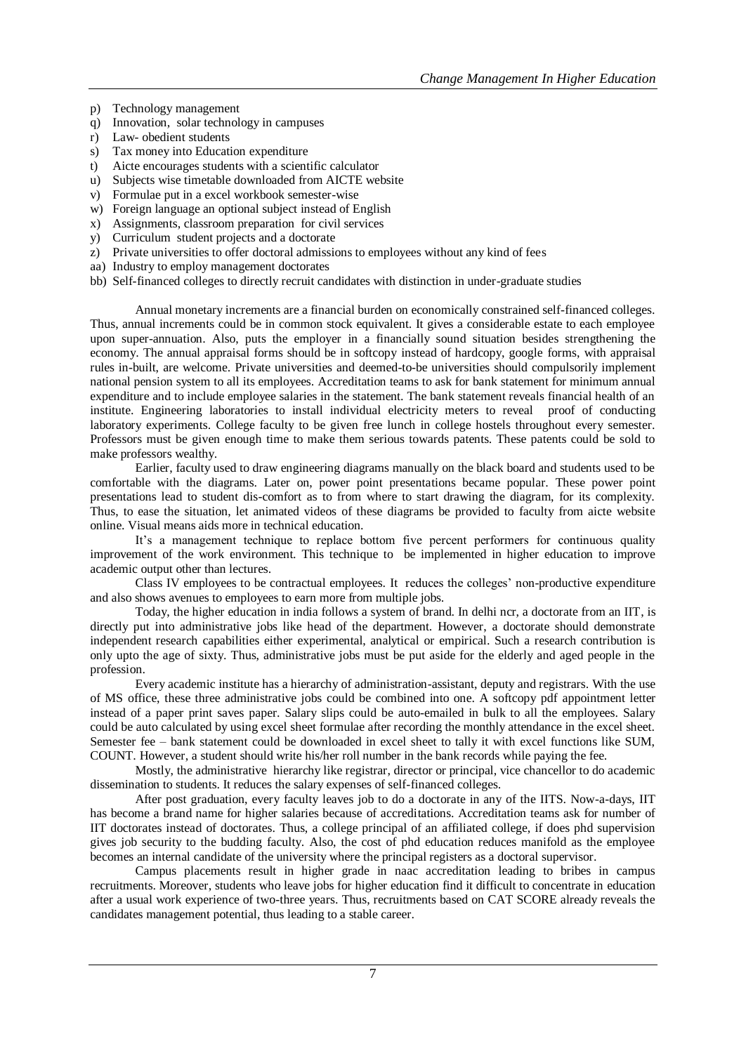- p) Technology management
- q) Innovation, solar technology in campuses
- r) Law- obedient students
- s) Tax money into Education expenditure
- t) Aicte encourages students with a scientific calculator
- u) Subjects wise timetable downloaded from AICTE website
- v) Formulae put in a excel workbook semester-wise
- w) Foreign language an optional subject instead of English
- x) Assignments, classroom preparation for civil services
- y) Curriculum student projects and a doctorate
- z) Private universities to offer doctoral admissions to employees without any kind of fees
- aa) Industry to employ management doctorates
- bb) Self-financed colleges to directly recruit candidates with distinction in under-graduate studies

Annual monetary increments are a financial burden on economically constrained self-financed colleges. Thus, annual increments could be in common stock equivalent. It gives a considerable estate to each employee upon super-annuation. Also, puts the employer in a financially sound situation besides strengthening the economy. The annual appraisal forms should be in softcopy instead of hardcopy, google forms, with appraisal rules in-built, are welcome. Private universities and deemed-to-be universities should compulsorily implement national pension system to all its employees. Accreditation teams to ask for bank statement for minimum annual expenditure and to include employee salaries in the statement. The bank statement reveals financial health of an institute. Engineering laboratories to install individual electricity meters to reveal proof of conducting laboratory experiments. College faculty to be given free lunch in college hostels throughout every semester. Professors must be given enough time to make them serious towards patents. These patents could be sold to make professors wealthy.

Earlier, faculty used to draw engineering diagrams manually on the black board and students used to be comfortable with the diagrams. Later on, power point presentations became popular. These power point presentations lead to student dis-comfort as to from where to start drawing the diagram, for its complexity. Thus, to ease the situation, let animated videos of these diagrams be provided to faculty from aicte website online. Visual means aids more in technical education.

It's a management technique to replace bottom five percent performers for continuous quality improvement of the work environment. This technique to be implemented in higher education to improve academic output other than lectures.

Class IV employees to be contractual employees. It reduces the colleges' non-productive expenditure and also shows avenues to employees to earn more from multiple jobs.

Today, the higher education in india follows a system of brand. In delhi ncr, a doctorate from an IIT, is directly put into administrative jobs like head of the department. However, a doctorate should demonstrate independent research capabilities either experimental, analytical or empirical. Such a research contribution is only upto the age of sixty. Thus, administrative jobs must be put aside for the elderly and aged people in the profession.

Every academic institute has a hierarchy of administration-assistant, deputy and registrars. With the use of MS office, these three administrative jobs could be combined into one. A softcopy pdf appointment letter instead of a paper print saves paper. Salary slips could be auto-emailed in bulk to all the employees. Salary could be auto calculated by using excel sheet formulae after recording the monthly attendance in the excel sheet. Semester fee – bank statement could be downloaded in excel sheet to tally it with excel functions like SUM, COUNT. However, a student should write his/her roll number in the bank records while paying the fee.

Mostly, the administrative hierarchy like registrar, director or principal, vice chancellor to do academic dissemination to students. It reduces the salary expenses of self-financed colleges.

After post graduation, every faculty leaves job to do a doctorate in any of the IITS. Now-a-days, IIT has become a brand name for higher salaries because of accreditations. Accreditation teams ask for number of IIT doctorates instead of doctorates. Thus, a college principal of an affiliated college, if does phd supervision gives job security to the budding faculty. Also, the cost of phd education reduces manifold as the employee becomes an internal candidate of the university where the principal registers as a doctoral supervisor.

Campus placements result in higher grade in naac accreditation leading to bribes in campus recruitments. Moreover, students who leave jobs for higher education find it difficult to concentrate in education after a usual work experience of two-three years. Thus, recruitments based on CAT SCORE already reveals the candidates management potential, thus leading to a stable career.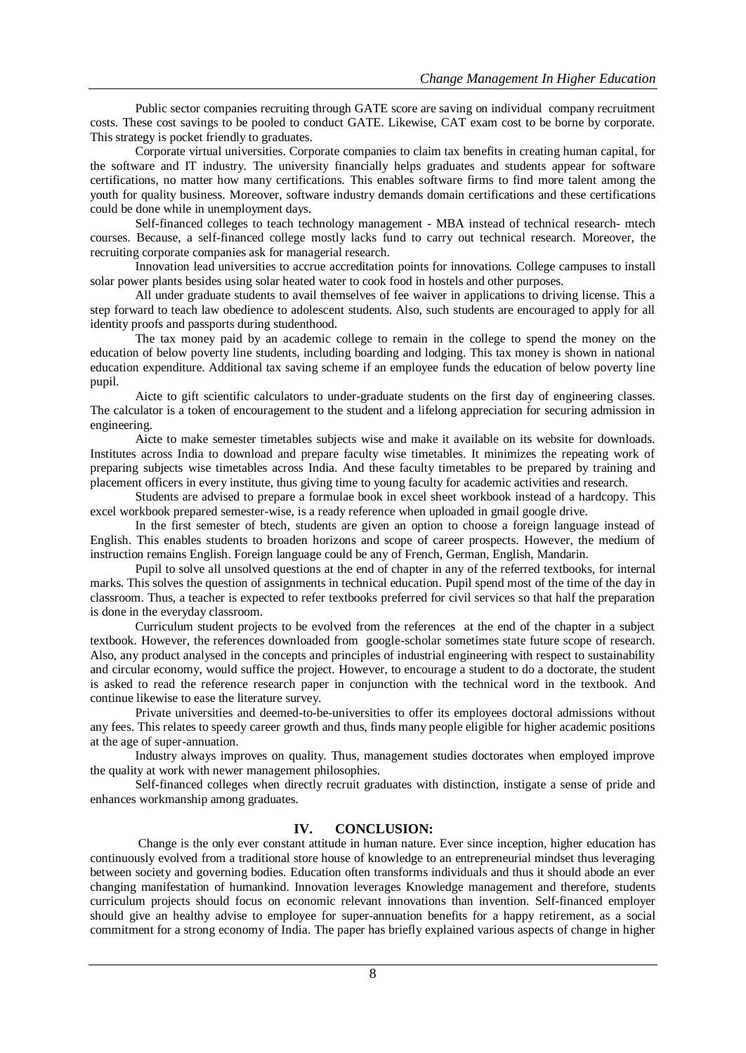Public sector companies recruiting through GATE score are saving on individual company recruitment costs. These cost savings to be pooled to conduct GATE. Likewise, CAT exam cost to be borne by corporate. This strategy is pocket friendly to graduates.

Corporate virtual universities. Corporate companies to claim tax benefits in creating human capital, for the software and IT industry. The university financially helps graduates and students appear for software certifications, no matter how many certifications. This enables software firms to find more talent among the youth for quality business. Moreover, software industry demands domain certifications and these certifications could be done while in unemployment days.

Self-financed colleges to teach technology management - MBA instead of technical research- mtech courses. Because, a self-financed college mostly lacks fund to carry out technical research. Moreover, the recruiting corporate companies ask for managerial research.

Innovation lead universities to accrue accreditation points for innovations. College campuses to install solar power plants besides using solar heated water to cook food in hostels and other purposes.

All under graduate students to avail themselves of fee waiver in applications to driving license. This a step forward to teach law obedience to adolescent students. Also, such students are encouraged to apply for all identity proofs and passports during studenthood.

The tax money paid by an academic college to remain in the college to spend the money on the education of below poverty line students, including boarding and lodging. This tax money is shown in national education expenditure. Additional tax saving scheme if an employee funds the education of below poverty line pupil.

Aicte to gift scientific calculators to under-graduate students on the first day of engineering classes. The calculator is a token of encouragement to the student and a lifelong appreciation for securing admission in engineering.

Aicte to make semester timetables subjects wise and make it available on its website for downloads. Institutes across India to download and prepare faculty wise timetables. It minimizes the repeating work of preparing subjects wise timetables across India. And these faculty timetables to be prepared by training and placement officers in every institute, thus giving time to young faculty for academic activities and research.

Students are advised to prepare a formulae book in excel sheet workbook instead of a hardcopy. This excel workbook prepared semester-wise, is a ready reference when uploaded in gmail google drive.

In the first semester of btech, students are given an option to choose a foreign language instead of English. This enables students to broaden horizons and scope of career prospects. However, the medium of instruction remains English. Foreign language could be any of French, German, English, Mandarin.

Pupil to solve all unsolved questions at the end of chapter in any of the referred textbooks, for internal marks. This solves the question of assignments in technical education. Pupil spend most of the time of the day in classroom. Thus, a teacher is expected to refer textbooks preferred for civil services so that half the preparation is done in the everyday classroom.

Curriculum student projects to be evolved from the references at the end of the chapter in a subject textbook. However, the references downloaded from google-scholar sometimes state future scope of research. Also, any product analysed in the concepts and principles of industrial engineering with respect to sustainability and circular economy, would suffice the project. However, to encourage a student to do a doctorate, the student is asked to read the reference research paper in conjunction with the technical word in the textbook. And continue likewise to ease the literature survey.

Private universities and deemed-to-be-universities to offer its employees doctoral admissions without any fees. This relates to speedy career growth and thus, finds many people eligible for higher academic positions at the age of super-annuation.

Industry always improves on quality. Thus, management studies doctorates when employed improve the quality at work with newer management philosophies.

Self-financed colleges when directly recruit graduates with distinction, instigate a sense of pride and enhances workmanship among graduates.

### **IV. CONCLUSION:**

Change is the only ever constant attitude in human nature. Ever since inception, higher education has continuously evolved from a traditional store house of knowledge to an entrepreneurial mindset thus leveraging between society and governing bodies. Education often transforms individuals and thus it should abode an ever changing manifestation of humankind. Innovation leverages Knowledge management and therefore, students curriculum projects should focus on economic relevant innovations than invention. Self-financed employer should give an healthy advise to employee for super-annuation benefits for a happy retirement, as a social commitment for a strong economy of India. The paper has briefly explained various aspects of change in higher